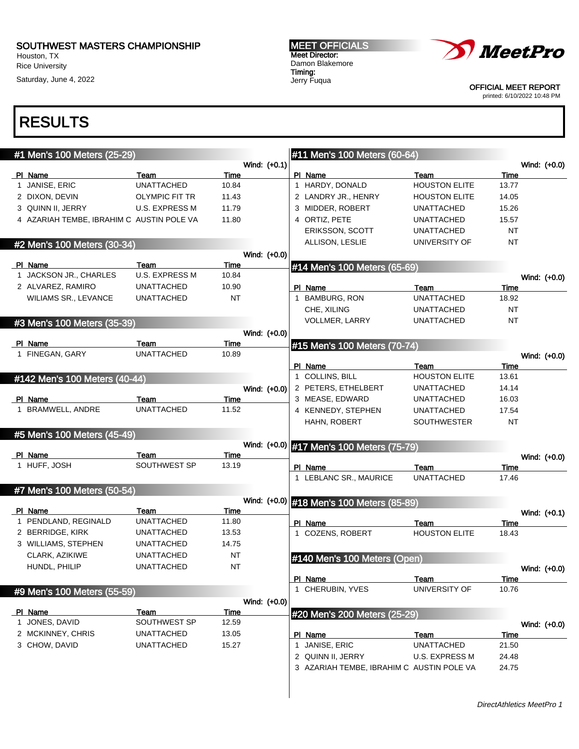Houston, TX Rice University

Saturday, June 4, 2022

MEET OFFICIALS Meet Director: Damon Blakemore Timing: Jerry Fuqua



OFFICIAL MEET REPORT printed: 6/10/2022 10:48 PM

| #1 Men's 100 Meters (25-29) |                                           |                       |              | #11 Men's 100 Meters (60-64)              |                      |           |  |              |
|-----------------------------|-------------------------------------------|-----------------------|--------------|-------------------------------------------|----------------------|-----------|--|--------------|
|                             |                                           |                       | Wind: (+0.1) |                                           |                      |           |  | Wind: (+0.0) |
|                             | PI Name                                   | Team                  | Time         | PI Name                                   | Team                 | Time      |  |              |
|                             | 1 JANISE, ERIC                            | <b>UNATTACHED</b>     | 10.84        | 1 HARDY, DONALD                           | <b>HOUSTON ELITE</b> | 13.77     |  |              |
|                             | 2 DIXON, DEVIN                            | <b>OLYMPIC FIT TR</b> | 11.43        | 2 LANDRY JR., HENRY                       | <b>HOUSTON ELITE</b> | 14.05     |  |              |
|                             | 3 QUINN II, JERRY                         | <b>U.S. EXPRESS M</b> | 11.79        | 3 MIDDER, ROBERT                          | UNATTACHED           | 15.26     |  |              |
|                             | 4 AZARIAH TEMBE, IBRAHIM C AUSTIN POLE VA |                       | 11.80        | 4 ORTIZ, PETE                             | <b>UNATTACHED</b>    | 15.57     |  |              |
|                             |                                           |                       |              | ERIKSSON, SCOTT                           | <b>UNATTACHED</b>    | <b>NT</b> |  |              |
|                             | #2 Men's 100 Meters (30-34)               |                       |              | ALLISON, LESLIE                           | UNIVERSITY OF        | <b>NT</b> |  |              |
|                             |                                           |                       | Wind: (+0.0) |                                           |                      |           |  |              |
|                             | PI Name                                   | Team                  | Time         | #14 Men's 100 Meters (65-69)              |                      |           |  |              |
|                             | 1 JACKSON JR., CHARLES                    | <b>U.S. EXPRESS M</b> | 10.84        |                                           |                      |           |  | Wind: (+0.0) |
|                             | 2 ALVAREZ, RAMIRO                         | <b>UNATTACHED</b>     | 10.90        | PI Name                                   | Team                 | Time      |  |              |
|                             | <b>WILIAMS SR., LEVANCE</b>               | <b>UNATTACHED</b>     | <b>NT</b>    | 1 BAMBURG, RON                            | <b>UNATTACHED</b>    | 18.92     |  |              |
|                             |                                           |                       |              | CHE, XILING                               | <b>UNATTACHED</b>    | <b>NT</b> |  |              |
|                             | #3 Men's 100 Meters (35-39)               |                       |              | VOLLMER, LARRY                            | <b>UNATTACHED</b>    | <b>NT</b> |  |              |
|                             |                                           |                       | Wind: (+0.0) |                                           |                      |           |  |              |
|                             | PI Name                                   | Team                  | Time         | #15 Men's 100 Meters (70-74)              |                      |           |  |              |
|                             | 1 FINEGAN, GARY                           | <b>UNATTACHED</b>     | 10.89        |                                           |                      |           |  | Wind: (+0.0) |
|                             |                                           |                       |              | PI Name                                   | Team                 | Time      |  |              |
|                             | #142 Men's 100 Meters (40-44)             |                       |              | 1 COLLINS, BILL                           | <b>HOUSTON ELITE</b> | 13.61     |  |              |
|                             |                                           |                       | Wind: (+0.0) | 2 PETERS, ETHELBERT                       | <b>UNATTACHED</b>    | 14.14     |  |              |
|                             | PI_Name                                   | Team                  | Time         | 3 MEASE, EDWARD                           | <b>UNATTACHED</b>    | 16.03     |  |              |
|                             | 1 BRAMWELL, ANDRE                         | <b>UNATTACHED</b>     | 11.52        | 4 KENNEDY, STEPHEN                        | <b>UNATTACHED</b>    | 17.54     |  |              |
|                             |                                           |                       |              | HAHN, ROBERT                              | <b>SOUTHWESTER</b>   | NT        |  |              |
|                             | #5 Men's 100 Meters (45-49)               |                       |              |                                           |                      |           |  |              |
|                             |                                           |                       |              | Wind: (+0.0) #17 Men's 100 Meters (75-79) |                      |           |  |              |
|                             | PI Name                                   | Team                  | Time         |                                           |                      |           |  | Wind: (+0.0) |
|                             | 1 HUFF, JOSH                              | SOUTHWEST SP          | 13.19        | PI Name                                   | Team                 | Time      |  |              |
|                             |                                           |                       |              | 1 LEBLANC SR., MAURICE                    | <b>UNATTACHED</b>    | 17.46     |  |              |
|                             | #7 Men's 100 Meters (50-54)               |                       |              |                                           |                      |           |  |              |
|                             |                                           |                       | Wind: (+0.0) | #18 Men's 100 Meters (85-89)              |                      |           |  |              |
|                             | PI Name                                   | Team                  | Time         |                                           |                      |           |  | Wind: (+0.1) |
|                             | 1 PENDLAND, REGINALD                      | <b>UNATTACHED</b>     | 11.80        | PI Name                                   | Team                 | Time      |  |              |
|                             | 2 BERRIDGE, KIRK                          | <b>UNATTACHED</b>     | 13.53        | 1 COZENS, ROBERT                          | <b>HOUSTON ELITE</b> | 18.43     |  |              |
|                             | 3 WILLIAMS, STEPHEN                       | <b>UNATTACHED</b>     | 14.75        |                                           |                      |           |  |              |
|                             | CLARK, AZIKIWE                            | <b>UNATTACHED</b>     | NT           | #140 Men's 100 Meters (Open)              |                      |           |  |              |
|                             | HUNDL, PHILIP                             | <b>UNATTACHED</b>     | <b>NT</b>    |                                           |                      |           |  | Wind: (+0.0) |
|                             |                                           |                       |              | PI Name                                   | Team                 | Time      |  |              |
|                             |                                           |                       |              | 1 CHERUBIN, YVES                          | UNIVERSITY OF        | 10.76     |  |              |
|                             | #9 Men's 100 Meters (55-59)               |                       | Wind: (+0.0) |                                           |                      |           |  |              |
|                             | PI Name                                   | Team                  | Time         |                                           |                      |           |  |              |
|                             | 1 JONES, DAVID                            | SOUTHWEST SP          | 12.59        | #20 Men's 200 Meters (25-29)              |                      |           |  |              |
|                             | 2 MCKINNEY, CHRIS                         | <b>UNATTACHED</b>     | 13.05        | PI Name                                   | Team                 | Time      |  | Wind: (+0.0) |
|                             | 3 CHOW, DAVID                             | <b>UNATTACHED</b>     | 15.27        | 1 JANISE, ERIC                            | <b>UNATTACHED</b>    | 21.50     |  |              |
|                             |                                           |                       |              | 2 QUINN II, JERRY                         | U.S. EXPRESS M       | 24.48     |  |              |
|                             |                                           |                       |              | 3 AZARIAH TEMBE, IBRAHIM C AUSTIN POLE VA |                      | 24.75     |  |              |
|                             |                                           |                       |              |                                           |                      |           |  |              |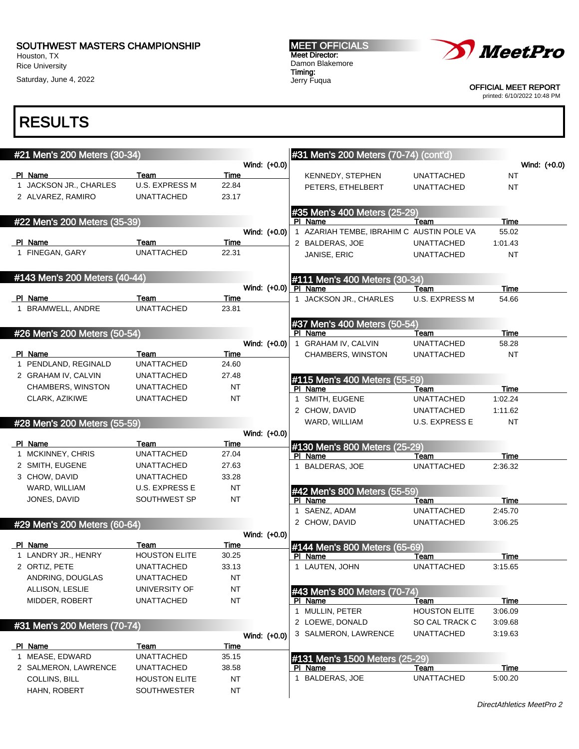Houston, TX Rice University Saturday, June 4, 2022 MEET OFFICIALS Meet Director: Damon Blakemore Timing: Jerry Fuqua



OFFICIAL MEET REPORT

printed: 6/10/2022 10:48 PM

| #21 Men's 200 Meters (30-34)      |                               |               |                        | #31 Men's 200 Meters (70-74) (cont'd)     |                       |             |              |
|-----------------------------------|-------------------------------|---------------|------------------------|-------------------------------------------|-----------------------|-------------|--------------|
|                                   |                               |               | Wind: (+0.0)           |                                           |                       |             | Wind: (+0.0) |
| PI Name<br>1 JACKSON JR., CHARLES | Team<br><b>U.S. EXPRESS M</b> | Time<br>22.84 |                        | KENNEDY, STEPHEN                          | <b>UNATTACHED</b>     | NT          |              |
| 2 ALVAREZ, RAMIRO                 | <b>UNATTACHED</b>             | 23.17         |                        | PETERS, ETHELBERT                         | <b>UNATTACHED</b>     | NT          |              |
|                                   |                               |               |                        |                                           |                       |             |              |
| #22 Men's 200 Meters (35-39)      |                               |               |                        | #35 Men's 400 Meters (25-29)<br>PI Name   | Team                  | Time        |              |
|                                   |                               |               | Wind: (+0.0)           | 1 AZARIAH TEMBE, IBRAHIM C AUSTIN POLE VA |                       | 55.02       |              |
| PI Name                           | Team                          | Time          |                        | 2 BALDERAS, JOE                           | UNATTACHED            | 1:01.43     |              |
| 1 FINEGAN, GARY                   | <b>UNATTACHED</b>             | 22.31         |                        | JANISE, ERIC                              | <b>UNATTACHED</b>     | <b>NT</b>   |              |
| #143 Men's 200 Meters (40-44)     |                               |               |                        |                                           |                       |             |              |
|                                   |                               |               | Wind: $(+0.0)$ PI Name | #111 Men's 400 Meters (30-34)             | Team                  | Time        |              |
| PI Name                           | Team                          | Time          |                        | 1 JACKSON JR., CHARLES                    | <b>U.S. EXPRESS M</b> | 54.66       |              |
| 1 BRAMWELL, ANDRE                 | <b>UNATTACHED</b>             | 23.81         |                        |                                           |                       |             |              |
|                                   |                               |               |                        | #37 Men's 400 Meters (50-54)              |                       |             |              |
| #26 Men's 200 Meters (50-54)      |                               |               |                        | PI Name                                   | Team                  | Time        |              |
|                                   |                               |               | Wind: (+0.0)           | 1 GRAHAM IV, CALVIN                       | <b>UNATTACHED</b>     | 58.28       |              |
| PI Name                           | Team                          | Time          |                        | CHAMBERS, WINSTON                         | <b>UNATTACHED</b>     | NT          |              |
| 1 PENDLAND, REGINALD              | <b>UNATTACHED</b>             | 24.60         |                        |                                           |                       |             |              |
| 2 GRAHAM IV, CALVIN               | <b>UNATTACHED</b>             | 27.48         |                        | #115 Men's 400 Meters (55-59)             |                       |             |              |
| CHAMBERS, WINSTON                 | <b>UNATTACHED</b>             | NT            |                        | PI Name                                   | Team                  | Time        |              |
| CLARK, AZIKIWE                    | <b>UNATTACHED</b>             | NT            |                        | 1 SMITH, EUGENE                           | <b>UNATTACHED</b>     | 1:02.24     |              |
|                                   |                               |               |                        | 2 CHOW, DAVID                             | UNATTACHED            | 1:11.62     |              |
| #28 Men's 200 Meters (55-59)      |                               |               |                        | WARD, WILLIAM                             | U.S. EXPRESS E        | <b>NT</b>   |              |
|                                   |                               |               | Wind: (+0.0)           |                                           |                       |             |              |
| PI Name                           | Team                          | Time          |                        | #130 Men's 800 Meters (25-29)             |                       |             |              |
| 1 MCKINNEY, CHRIS                 | <b>UNATTACHED</b>             | 27.04         |                        | PI Name                                   | Team                  | <b>Time</b> |              |
| 2 SMITH, EUGENE                   | UNATTACHED                    | 27.63         |                        | 1 BALDERAS, JOE                           | <b>UNATTACHED</b>     | 2:36.32     |              |
| 3 CHOW, DAVID                     | UNATTACHED                    | 33.28         |                        |                                           |                       |             |              |
| WARD, WILLIAM                     | <b>U.S. EXPRESS E</b>         | NT            |                        | #42 Men's 800 Meters (55-59)              |                       |             |              |
| JONES, DAVID                      | SOUTHWEST SP                  | NT            |                        | PI Name                                   | Team                  | Time        |              |
|                                   |                               |               |                        | 1 SAENZ, ADAM                             | <b>UNATTACHED</b>     | 2:45.70     |              |
| #29 Men's 200 Meters (60-64)      |                               |               |                        | 2 CHOW, DAVID                             | <b>UNATTACHED</b>     | 3:06.25     |              |
|                                   |                               |               | Wind: (+0.0)           |                                           |                       |             |              |
| PI Name                           | Team                          | Time          |                        | #144 Men's 800 Meters (65-69)             |                       |             |              |
| 1 LANDRY JR., HENRY               | <b>HOUSTON ELITE</b>          | 30.25         |                        | PI Name                                   | Team                  | Time        |              |
| 2 ORTIZ, PETE                     | <b>UNATTACHED</b>             | 33.13         |                        | 1 LAUTEN, JOHN                            | <b>UNATTACHED</b>     | 3:15.65     |              |
| ANDRING, DOUGLAS                  | <b>UNATTACHED</b>             | NT            |                        |                                           |                       |             |              |
| ALLISON, LESLIE                   | UNIVERSITY OF                 | <b>NT</b>     |                        | #43 Men's 800 Meters (70-74)              |                       |             |              |
| MIDDER, ROBERT                    | <b>UNATTACHED</b>             | <b>NT</b>     |                        | PI Name                                   | Team                  | Time        |              |
|                                   |                               |               |                        | 1 MULLIN, PETER                           | <b>HOUSTON ELITE</b>  | 3:06.09     |              |
| #31 Men's 200 Meters (70-74)      |                               |               |                        | 2 LOEWE, DONALD                           | SO CAL TRACK C        | 3:09.68     |              |
|                                   |                               |               | Wind: (+0.0)           | 3 SALMERON, LAWRENCE                      | <b>UNATTACHED</b>     | 3:19.63     |              |
| PI Name                           | Team                          | <b>Time</b>   |                        |                                           |                       |             |              |
| 1 MEASE, EDWARD                   | <b>UNATTACHED</b>             | 35.15         |                        | #131 Men's 1500 Meters (25-29)            |                       |             |              |
| 2 SALMERON, LAWRENCE              | <b>UNATTACHED</b>             | 38.58         |                        | PI Name                                   | Team                  | Time        |              |
| <b>COLLINS, BILL</b>              | <b>HOUSTON ELITE</b>          | NT            |                        | 1 BALDERAS, JOE                           | <b>UNATTACHED</b>     | 5:00.20     |              |
| HAHN, ROBERT                      | <b>SOUTHWESTER</b>            | <b>NT</b>     |                        |                                           |                       |             |              |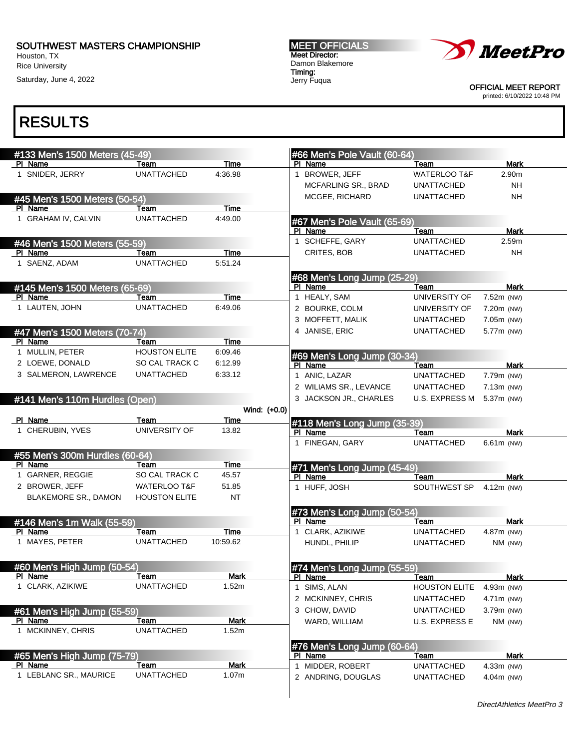Houston, TX Rice University

Saturday, June 4, 2022

MEET OFFICIALS Meet Director: Damon Blakemore Timing: Jerry Fuqua



OFFICIAL MEET REPORT printed: 6/10/2022 10:48 PM

| #133 Men's 1500 Meters (45-49)            |                           |             |              | #66 Men's Pole Vault (60-64)           |                           |                           |
|-------------------------------------------|---------------------------|-------------|--------------|----------------------------------------|---------------------------|---------------------------|
| PI Name                                   | Team                      | Time        |              | PI Name                                | Team                      | <b>Mark</b>               |
| 1 SNIDER, JERRY                           | <b>UNATTACHED</b>         | 4:36.98     |              | 1 BROWER, JEFF                         | <b>WATERLOO T&amp;F</b>   | 2.90m                     |
|                                           |                           |             |              | MCFARLING SR., BRAD                    | <b>UNATTACHED</b>         | <b>NH</b>                 |
| #45 Men's 1500 Meters (50-54)             |                           |             |              | MCGEE, RICHARD                         | <b>UNATTACHED</b>         | <b>NH</b>                 |
| PI Name                                   | Team                      | <b>Time</b> |              |                                        |                           |                           |
| 1 GRAHAM IV, CALVIN                       | <b>UNATTACHED</b>         | 4:49.00     |              | #67 Men's Pole Vault (65-69)           |                           |                           |
|                                           |                           |             |              | PI Name                                | Team                      | <b>Mark</b>               |
| #46 Men's 1500 Meters (55-59)             |                           |             |              | 1 SCHEFFE, GARY                        | <b>UNATTACHED</b>         | 2.59m                     |
| PI Name                                   | Team                      | <b>Time</b> |              | CRITES, BOB                            | <b>UNATTACHED</b>         | <b>NH</b>                 |
| 1 SAENZ, ADAM                             | <b>UNATTACHED</b>         | 5:51.24     |              |                                        |                           |                           |
|                                           |                           |             |              | #68 Men's Long Jump (25-29)            |                           |                           |
| #145 Men's 1500 Meters (65-69)            |                           |             |              | PI Name                                | Team                      | <b>Mark</b>               |
| PI Name                                   | Team                      | Time        |              | 1 HEALY, SAM                           | UNIVERSITY OF             | 7.52m (NW)                |
| 1 LAUTEN, JOHN                            | <b>UNATTACHED</b>         | 6:49.06     |              | 2 BOURKE, COLM                         | UNIVERSITY OF             | 7.20m (NW)                |
|                                           |                           |             |              | 3 MOFFETT, MALIK                       | <b>UNATTACHED</b>         | 7.05m (NW)                |
| #47 Men's 1500 Meters (70-74)             |                           |             |              | 4 JANISE, ERIC                         | <b>UNATTACHED</b>         | 5.77m (NW)                |
| PI Name                                   | Team                      | <b>Time</b> |              |                                        |                           |                           |
| 1 MULLIN, PETER                           | <b>HOUSTON ELITE</b>      | 6:09.46     |              |                                        |                           |                           |
| 2 LOEWE, DONALD                           | SO CAL TRACK C            | 6:12.99     |              | #69 Men's Long Jump (30-34)<br>PI Name | Team                      | <b>Mark</b>               |
| 3 SALMERON, LAWRENCE                      | <b>UNATTACHED</b>         | 6:33.12     |              | 1 ANIC, LAZAR                          | <b>UNATTACHED</b>         | 7.79m (NW)                |
|                                           |                           |             |              | 2 WILIAMS SR., LEVANCE                 | <b>UNATTACHED</b>         | 7.13m (NW)                |
|                                           |                           |             |              | 3 JACKSON JR., CHARLES                 | <b>U.S. EXPRESS M</b>     | 5.37m (NW)                |
| #141 Men's 110m Hurdles (Open)            |                           |             | Wind: (+0.0) |                                        |                           |                           |
| PI Name                                   | Team                      | Time        |              |                                        |                           |                           |
| 1 CHERUBIN, YVES                          | UNIVERSITY OF             | 13.82       |              | #118 Men's Long Jump (35-39)           |                           |                           |
|                                           |                           |             |              | PI Name<br>1 FINEGAN, GARY             | Team<br><b>UNATTACHED</b> | <b>Mark</b><br>6.61m (NW) |
|                                           |                           |             |              |                                        |                           |                           |
| #55 Men's 300m Hurdles (60-64)<br>PI Name | Team                      | Time        |              |                                        |                           |                           |
| 1 GARNER, REGGIE                          | SO CAL TRACK C            | 45.57       |              | #71 Men's Long Jump (45-49)<br>PI Name | Team                      | Mark                      |
| 2 BROWER, JEFF                            | <b>WATERLOO T&amp;F</b>   | 51.85       |              | 1 HUFF, JOSH                           | SOUTHWEST SP              | 4.12m (NW)                |
| <b>BLAKEMORE SR., DAMON</b>               | <b>HOUSTON ELITE</b>      | <b>NT</b>   |              |                                        |                           |                           |
|                                           |                           |             |              |                                        |                           |                           |
|                                           |                           |             |              | #73 Men's Long Jump (50-54)            |                           |                           |
| #146 Men's 1m Walk (55-59)                |                           | Time        |              | PI Name                                | Team<br><b>UNATTACHED</b> | <b>Mark</b>               |
| PI Name<br>1 MAYES, PETER                 | Team<br><b>UNATTACHED</b> | 10:59.62    |              | 1 CLARK, AZIKIWE                       |                           | 4.87m (NW)                |
|                                           |                           |             |              | HUNDL, PHILIP                          | <b>UNATTACHED</b>         | NM (NW)                   |
|                                           |                           |             |              |                                        |                           |                           |
| #60 Men's High Jump (50-54)               |                           |             |              | #74 Men's Long Jump (55-59)            |                           |                           |
| PI Name                                   | Team                      | <u>Mark</u> |              | PI Name                                | <b>Team</b>               | <b>Mark</b>               |
| 1 CLARK, AZIKIWE                          | <b>UNATTACHED</b>         | 1.52m       |              | 1 SIMS, ALAN                           | <b>HOUSTON ELITE</b>      | 4.93m (NW)                |
|                                           |                           |             |              | 2 MCKINNEY, CHRIS                      | <b>UNATTACHED</b>         | 4.71m (NW)                |
| #61 Men's High Jump (55-59)               |                           |             |              | 3 CHOW, DAVID                          | <b>UNATTACHED</b>         | 3.79m (NW)                |
| PI Name                                   | Team                      | <b>Mark</b> |              | WARD, WILLIAM                          | <b>U.S. EXPRESS E</b>     | NM (NW)                   |
| 1 MCKINNEY, CHRIS                         | <b>UNATTACHED</b>         | 1.52m       |              |                                        |                           |                           |
|                                           |                           |             |              | #76 Men's Long Jump (60-64)            |                           |                           |
| #65 Men's High Jump (75-79)               |                           |             |              | PI Name                                | Team                      | <b>Mark</b>               |
| PI Name                                   | Team                      | <b>Mark</b> |              | 1 MIDDER, ROBERT                       | <b>UNATTACHED</b>         | 4.33m (NW)                |
| 1 LEBLANC SR., MAURICE                    | <b>UNATTACHED</b>         | 1.07m       |              | 2 ANDRING, DOUGLAS                     | <b>UNATTACHED</b>         | 4.04m (NW)                |
|                                           |                           |             |              |                                        |                           |                           |
|                                           |                           |             |              |                                        |                           |                           |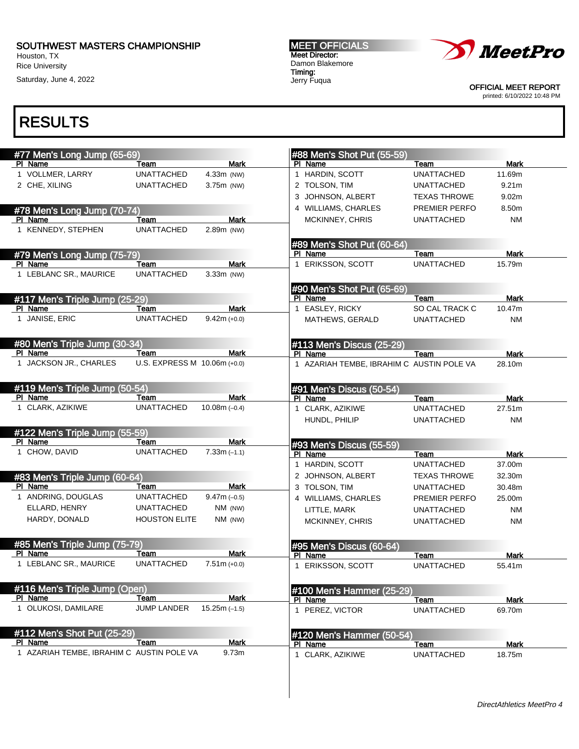Houston, TX Rice University

Saturday, June 4, 2022

MEET OFFICIALS Meet Director: Damon Blakemore Timing: Jerry Fuqua



OFFICIAL MEET REPORT printed: 6/10/2022 10:48 PM

| #77 Men's Long Jump (65-69)               |                              |                 | #88 Men's Shot Put (55-59)                |                     |                   |
|-------------------------------------------|------------------------------|-----------------|-------------------------------------------|---------------------|-------------------|
| PI Name                                   | Team                         | <b>Mark</b>     | PI Name                                   | Team                | Mark              |
| 1 VOLLMER, LARRY                          | <b>UNATTACHED</b>            | 4.33m (NW)      | 1 HARDIN, SCOTT                           | <b>UNATTACHED</b>   | 11.69m            |
| 2 CHE, XILING                             | <b>UNATTACHED</b>            | 3.75m (NW)      | 2 TOLSON, TIM                             | <b>UNATTACHED</b>   | 9.21 <sub>m</sub> |
|                                           |                              |                 | 3 JOHNSON, ALBERT                         | <b>TEXAS THROWE</b> | 9.02m             |
| #78 Men's Long Jump (70-74)               |                              |                 | 4 WILLIAMS, CHARLES                       | PREMIER PERFO       | 8.50m             |
| PI Name                                   | Team                         | <b>Mark</b>     | MCKINNEY, CHRIS                           | <b>UNATTACHED</b>   | <b>NM</b>         |
| 1 KENNEDY, STEPHEN                        | <b>UNATTACHED</b>            | 2.89m (NW)      |                                           |                     |                   |
|                                           |                              |                 | #89 Men's Shot Put (60-64)                |                     |                   |
| #79 Men's Long Jump (75-79)               |                              |                 | PI Name                                   | Team                | <b>Mark</b>       |
| PI Name                                   | Team                         | <b>Mark</b>     | 1 ERIKSSON, SCOTT                         | <b>UNATTACHED</b>   | 15.79m            |
| 1 LEBLANC SR., MAURICE                    | <b>UNATTACHED</b>            | 3.33m (NW)      |                                           |                     |                   |
| #117 Men's Triple Jump (25-29)            |                              |                 | #90 Men's Shot Put (65-69)<br>PI Name     | Team                | <b>Mark</b>       |
| PI Name                                   | Team                         | <b>Mark</b>     | EASLEY, RICKY<br>$\mathbf{1}$             | SO CAL TRACK C      | 10.47m            |
| 1 JANISE, ERIC                            | <b>UNATTACHED</b>            | $9.42m (+0.0)$  | MATHEWS, GERALD                           | <b>UNATTACHED</b>   | ΝM                |
|                                           |                              |                 |                                           |                     |                   |
| #80 Men's Triple Jump (30-34)<br>PI Name  | Team                         | <b>Mark</b>     | #113 Men's Discus (25-29)<br>PI Name      | Team                | Mark              |
| 1 JACKSON JR., CHARLES                    | U.S. EXPRESS M 10.06m (+0.0) |                 | 1 AZARIAH TEMBE, IBRAHIM C AUSTIN POLE VA |                     | 28.10m            |
|                                           |                              |                 |                                           |                     |                   |
| #119 Men's Triple Jump (50-54)            |                              |                 | #91 Men's Discus (50-54)                  |                     |                   |
| PI Name                                   | Team                         | Mark            | PI Name                                   | Team                | <b>Mark</b>       |
| 1 CLARK, AZIKIWE                          | <b>UNATTACHED</b>            | 10.08m $(-0.4)$ | 1 CLARK, AZIKIWE                          | <b>UNATTACHED</b>   | 27.51m            |
|                                           |                              |                 | HUNDL, PHILIP                             | <b>UNATTACHED</b>   | NM                |
| #122 Men's Triple Jump (55-59)<br>PI Name | Team                         | <b>Mark</b>     |                                           |                     |                   |
| 1 CHOW, DAVID                             | <b>UNATTACHED</b>            | $7.33m(-1.1)$   | #93 Men's Discus (55-59)<br>PI Name       | Team                | Mark              |
|                                           |                              |                 | 1 HARDIN, SCOTT                           | <b>UNATTACHED</b>   | 37.00m            |
|                                           |                              |                 |                                           |                     |                   |
| #83 Men's Triple Jump (60-64)<br>PI Name  |                              | <b>Mark</b>     | 2 JOHNSON, ALBERT                         | <b>TEXAS THROWE</b> | 32.30m            |
| 1 ANDRING, DOUGLAS                        | Team<br>UNATTACHED           | $9.47m(-0.5)$   | 3 TOLSON, TIM                             | <b>UNATTACHED</b>   | 30.48m            |
| ELLARD, HENRY                             | <b>UNATTACHED</b>            |                 | 4 WILLIAMS, CHARLES                       | PREMIER PERFO       | 25.00m            |
|                                           |                              | NM (NW)         | LITTLE, MARK                              | <b>UNATTACHED</b>   | ΝM                |
| HARDY, DONALD                             | <b>HOUSTON ELITE</b>         | NM (NW)         | MCKINNEY, CHRIS                           | <b>UNATTACHED</b>   | <b>NM</b>         |
| #85 Men's Triple Jump (75-79)             |                              |                 | #95 Men's Discus (60-64)                  |                     |                   |
| PI Name                                   | Team                         | <b>Mark</b>     | PI Name                                   | Team                | <b>Mark</b>       |
| 1 LEBLANC SR., MAURICE                    | <b>UNATTACHED</b>            | $7.51m (+0.0)$  | <b>ERIKSSON, SCOTT</b><br>1               | <b>UNATTACHED</b>   | 55.41m            |
|                                           |                              |                 |                                           |                     |                   |
| #116 Men's Triple Jump (Open)<br>PI Name  | Team                         | <b>Mark</b>     | #100 Men's Hammer (25-29)<br>PI Name      | Team                | <b>Mark</b>       |
| 1 OLUKOSI, DAMILARE                       | <b>JUMP LANDER</b>           | $15.25m(-1.5)$  | 1 PEREZ, VICTOR                           | <b>UNATTACHED</b>   | 69.70m            |
|                                           |                              |                 |                                           |                     |                   |
|                                           |                              |                 |                                           |                     |                   |
| #112 Men's Shot Put (25-29)<br>PI Name    | <b>Team</b>                  | <b>Mark</b>     | #120 Men's Hammer (50-54)<br>PI Name      | Team                | <b>Mark</b>       |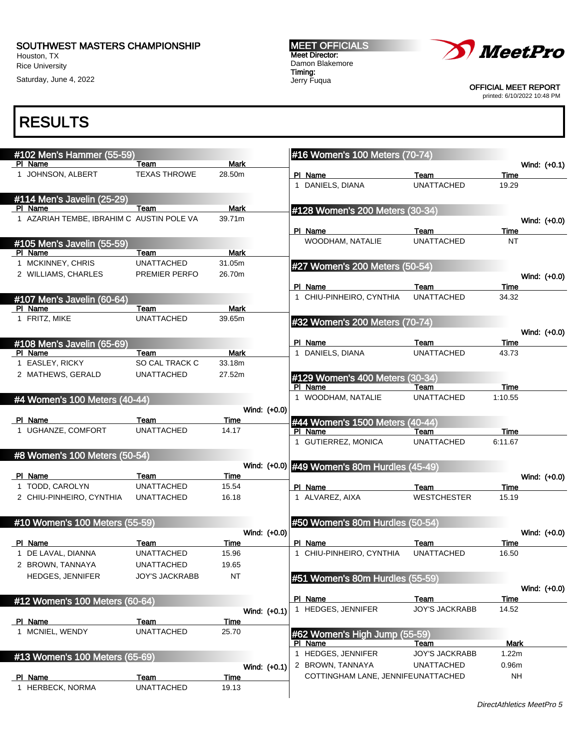Houston, TX Rice University

Saturday, June 4, 2022

MEET OFFICIALS Meet Director: Damon Blakemore Timing: Jerry Fuqua



OFFICIAL MEET REPORT

printed: 6/10/2022 10:48 PM

| #102 Men's Hammer (55-59)                 |                       |             |              | #16 Women's 100 Meters (70-74)               |                            |                   |
|-------------------------------------------|-----------------------|-------------|--------------|----------------------------------------------|----------------------------|-------------------|
| PI Name                                   | Team                  | <b>Mark</b> |              |                                              |                            | Wind: (+0.1)      |
| 1 JOHNSON, ALBERT                         | <b>TEXAS THROWE</b>   | 28.50m      |              | PI Name                                      | Team                       | Time              |
|                                           |                       |             |              | 1 DANIELS, DIANA                             | <b>UNATTACHED</b>          | 19.29             |
| #114 Men's Javelin (25-29)                |                       |             |              |                                              |                            |                   |
| PI Name                                   | Team                  | <b>Mark</b> |              | #128 Women's 200 Meters (30-34)              |                            |                   |
| 1 AZARIAH TEMBE, IBRAHIM C AUSTIN POLE VA |                       | 39.71m      |              |                                              |                            | Wind: (+0.0)      |
|                                           |                       |             |              | PI Name                                      | Team                       | Time              |
| #105 Men's Javelin (55-59)                |                       |             |              | WOODHAM, NATALIE                             | <b>UNATTACHED</b>          | NT                |
| PI Name                                   | Team                  | <b>Mark</b> |              |                                              |                            |                   |
| 1 MCKINNEY, CHRIS                         | <b>UNATTACHED</b>     | 31.05m      |              | #27 Women's 200 Meters (50-54)               |                            |                   |
| 2 WILLIAMS, CHARLES                       | PREMIER PERFO         | 26.70m      |              |                                              |                            | Wind: (+0.0)      |
|                                           |                       |             |              | PI Name                                      | Team                       | Time              |
| #107 Men's Javelin (60-64)                |                       |             |              | 1 CHIU-PINHEIRO, CYNTHIA                     | <b>UNATTACHED</b>          | 34.32             |
| PI Name                                   | Team                  | <b>Mark</b> |              |                                              |                            |                   |
| 1 FRITZ, MIKE                             | <b>UNATTACHED</b>     | 39.65m      |              | #32 Women's 200 Meters (70-74)               |                            |                   |
|                                           |                       |             |              |                                              |                            | Wind: (+0.0)      |
| #108 Men's Javelin (65-69)                |                       |             |              | PI Name                                      | Team                       | Time              |
| PI Name                                   | Team                  | <b>Mark</b> |              | 1 DANIELS, DIANA                             | <b>UNATTACHED</b>          | 43.73             |
| 1 EASLEY, RICKY                           | SO CAL TRACK C        | 33.18m      |              |                                              |                            |                   |
| 2 MATHEWS, GERALD                         | <b>UNATTACHED</b>     | 27.52m      |              |                                              |                            |                   |
|                                           |                       |             |              | #129 Women's 400 Meters (30-34)<br>PI Name   | Team                       | Time              |
|                                           |                       |             |              | 1 WOODHAM, NATALIE                           | <b>UNATTACHED</b>          | 1:10.55           |
| #4 Women's 100 Meters (40-44)             |                       |             | Wind: (+0.0) |                                              |                            |                   |
| PI Name                                   | Team                  | Time        |              |                                              |                            |                   |
| 1 UGHANZE, COMFORT                        | <b>UNATTACHED</b>     | 14.17       |              | #44 Women's 1500 Meters (40-44)<br>PI Name   | Team                       | <b>Time</b>       |
|                                           |                       |             |              | 1 GUTIERREZ, MONICA                          | <b>UNATTACHED</b>          | 6:11.67           |
|                                           |                       |             |              |                                              |                            |                   |
| #8 Women's 100 Meters (50-54)             |                       |             |              |                                              |                            |                   |
| PI Name                                   | Team                  | Time        |              | Wind: (+0.0) #49 Women's 80m Hurdles (45-49) |                            |                   |
| 1 TODD, CAROLYN                           | <b>UNATTACHED</b>     | 15.54       |              | PI Name                                      |                            | Wind: (+0.0)      |
| 2 CHIU-PINHEIRO, CYNTHIA                  | <b>UNATTACHED</b>     | 16.18       |              | 1 ALVAREZ, AIXA                              | Team<br><b>WESTCHESTER</b> | Time<br>15.19     |
|                                           |                       |             |              |                                              |                            |                   |
|                                           |                       |             |              |                                              |                            |                   |
| #10 Women's 100 Meters (55-59)            |                       |             |              | #50 Women's 80m Hurdles (50-54)              |                            |                   |
|                                           |                       |             | Wind: (+0.0) |                                              |                            | Wind: (+0.0)      |
| PI Name<br>1 DE LAVAL, DIANNA             | Team                  | Time        |              | PI Name<br>1 CHIU-PINHEIRO, CYNTHIA          | Team                       | Time              |
|                                           | <b>UNATTACHED</b>     | 15.96       |              |                                              | <b>UNATTACHED</b>          | 16.50             |
| 2 BROWN, TANNAYA                          | <b>UNATTACHED</b>     | 19.65       |              |                                              |                            |                   |
| <b>HEDGES, JENNIFER</b>                   | <b>JOY'S JACKRABB</b> | <b>NT</b>   |              | #51 Women's 80m Hurdles (55-59)              |                            |                   |
|                                           |                       |             |              |                                              |                            | Wind: $(+0.0)$    |
| #12 Women's 100 Meters (60-64)            |                       |             |              | PI Name                                      | Team                       | Time              |
|                                           |                       |             | Wind: (+0.1) | 1 HEDGES, JENNIFER                           | <b>JOY'S JACKRABB</b>      | 14.52             |
| PI Name                                   | Team                  | <b>Time</b> |              |                                              |                            |                   |
| 1 MCNIEL, WENDY                           | <b>UNATTACHED</b>     | 25.70       |              | #62 Women's High Jump (55-59)                |                            |                   |
|                                           |                       |             |              | PI Name                                      | Team                       | Mark              |
| #13 Women's 100 Meters (65-69)            |                       |             |              | 1 HEDGES, JENNIFER                           | <b>JOY'S JACKRABB</b>      | 1.22m             |
|                                           |                       |             | Wind: (+0.1) | 2 BROWN, TANNAYA                             | <b>UNATTACHED</b>          | 0.96 <sub>m</sub> |
| PI Name                                   | Team                  | Time        |              | COTTINGHAM LANE, JENNIFEUNATTACHED           |                            | <b>NH</b>         |
| 1 HERBECK, NORMA                          | <b>UNATTACHED</b>     | 19.13       |              |                                              |                            |                   |
|                                           |                       |             |              |                                              |                            |                   |